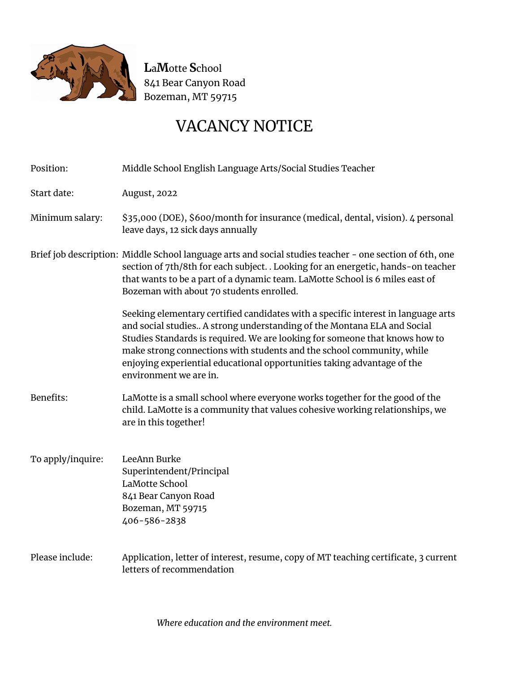

# VACANCY NOTICE

| Position:         | Middle School English Language Arts/Social Studies Teacher                                                                                                                                                                                                                                                                                                                                                                |
|-------------------|---------------------------------------------------------------------------------------------------------------------------------------------------------------------------------------------------------------------------------------------------------------------------------------------------------------------------------------------------------------------------------------------------------------------------|
| Start date:       | <b>August</b> , 2022                                                                                                                                                                                                                                                                                                                                                                                                      |
| Minimum salary:   | \$35,000 (DOE), \$600/month for insurance (medical, dental, vision). 4 personal<br>leave days, 12 sick days annually                                                                                                                                                                                                                                                                                                      |
|                   | Brief job description: Middle School language arts and social studies teacher - one section of 6th, one<br>section of 7th/8th for each subject. . Looking for an energetic, hands-on teacher<br>that wants to be a part of a dynamic team. LaMotte School is 6 miles east of<br>Bozeman with about 70 students enrolled.                                                                                                  |
|                   | Seeking elementary certified candidates with a specific interest in language arts<br>and social studies A strong understanding of the Montana ELA and Social<br>Studies Standards is required. We are looking for someone that knows how to<br>make strong connections with students and the school community, while<br>enjoying experiential educational opportunities taking advantage of the<br>environment we are in. |
| Benefits:         | LaMotte is a small school where everyone works together for the good of the<br>child. LaMotte is a community that values cohesive working relationships, we<br>are in this together!                                                                                                                                                                                                                                      |
| To apply/inquire: | LeeAnn Burke<br>Superintendent/Principal<br>LaMotte School<br>841 Bear Canyon Road<br>Bozeman, MT 59715<br>406-586-2838                                                                                                                                                                                                                                                                                                   |
| Please include:   | Application, letter of interest, resume, copy of MT teaching certificate, 3 current<br>letters of recommendation                                                                                                                                                                                                                                                                                                          |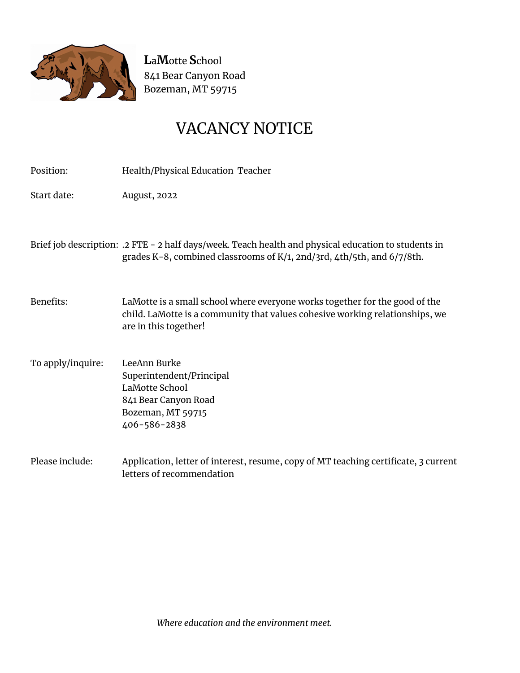

### VACANCY NOTICE

Position: Health/Physical Education Teacher

Start date: August, 2022

Brief job description: .2 FTE - 2 half days/week. Teach health and physical education to students in grades K-8, combined classrooms of K/1, 2nd/3rd, 4th/5th, and 6/7/8th.

Benefits: LaMotte is a small school where everyone works together for the good of the child. LaMotte is a community that values cohesive working relationships, we are in this together!

- To apply/inquire: LeeAnn Burke Superintendent/Principal LaMotte School 841 Bear Canyon Road Bozeman, MT 59715 406-586-2838
- Please include: Application, letter of interest, resume, copy of MT teaching certificate, 3 current letters of recommendation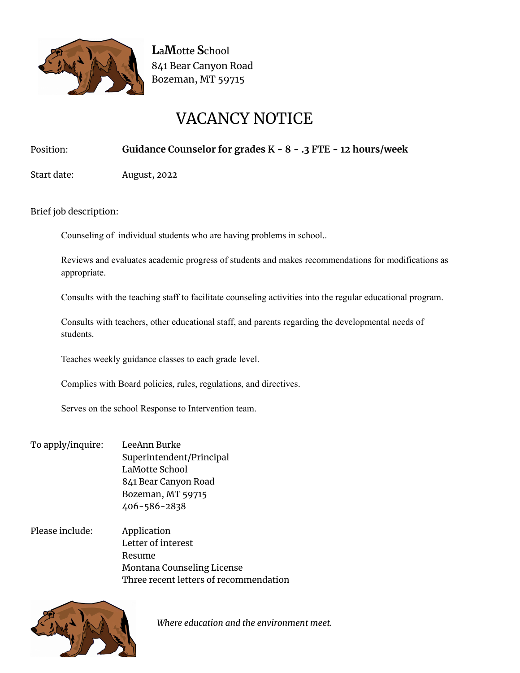

# VACANCY NOTICE

#### Position: **Guidance Counselor for grades K - 8 - .3 FTE - 12 hours/week**

Start date: August, 2022

Brief job description:

Counseling of individual students who are having problems in school..

Reviews and evaluates academic progress of students and makes recommendations for modifications as appropriate.

Consults with the teaching staff to facilitate counseling activities into the regular educational program.

Consults with teachers, other educational staff, and parents regarding the developmental needs of students.

Teaches weekly guidance classes to each grade level.

Complies with Board policies, rules, regulations, and directives.

Serves on the school Response to Intervention team.

- To apply/inquire: LeeAnn Burke Superintendent/Principal LaMotte School 841 Bear Canyon Road Bozeman, MT 59715 406-586-2838
- Please include: Application Letter of interest Resume Montana Counseling License Three recent letters of recommendation



*Where education and the environment meet.*